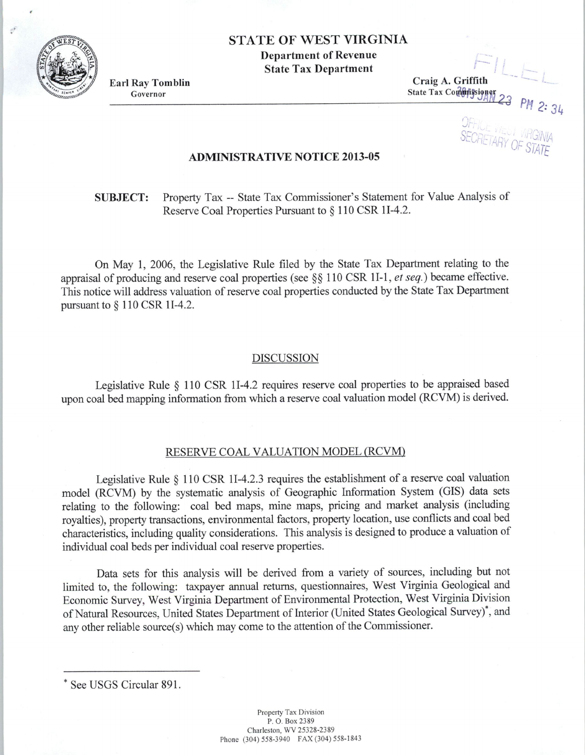STATE OF WEST VIRGINIA

Department of Revenue State Tax Department

Earl Ray Tomblin Governor

Craig A. Griffith  $State$  Tax Commissioner

r-

OF, SECRETARY OF *CEL* INNI UF STATE

## ADMINISTRATIVE NOTICE 2013-05

SUBJECT: Property Tax -- State Tax Commissioner's Statement for Value Analysis of Reserve Coal Properties Pursuant to  $\S 110$  CSR 1I-4.2.

On May 1, 2006, the Legislative Rule filed by the State Tax Department relating to the appraisal of producing and reserve coal properties (see §§ 110 CSR II-1, *et seq.)* became effective. This notice will address valuation of reserve coal properties conducted by the State Tax Department pursuant to§ 110 CSR II-4.2.

## DISCUSSION

Legislative Rule § 110 CSR II-4.2 requires reserve coal properties to be appraised based upon coal bed mapping information from which a reserve coal valuation model (RCVM) is derived.

## RESERVE COAL VALUATION MODEL (RCVM)

Legislative Rule § 110 CSR 11-4.2.3 requires the establishment of a reserve coal valuation model (RCVM) by the systematic analysis of Geographic Information System (GIS) data sets relating to the following: coal bed maps, mine maps, pricing and market analysis (including royalties), property transactions, environmental factors, property location, use conflicts and coal bed characteristics, including quality considerations. This analysis is designed to produce a valuation of individual coal beds per individual coal reserve properties.

Data sets for this analysis will be derived from a variety of sources, including but not limited to, the following: taxpayer annual returns, questionnaires, West Virginia Geological and Economic Survey, West Virginia Department of Environmental Protection, West Virginia Division of Natural Resources, United States Department of Interior (United States Geological Survey)•, and any other reliable source(s) which may come to the attention of the Commissioner.



See USGS Circular 891.